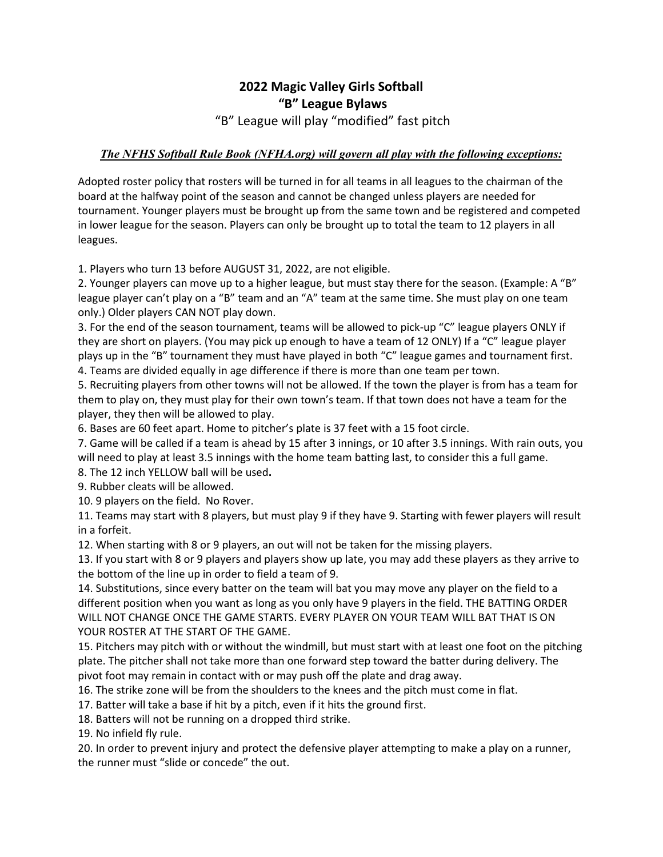## **2022 Magic Valley Girls Softball "B" League Bylaws**  "B" League will play "modified" fast pitch

## *The NFHS Softball Rule Book (NFHA.org) will govern all play with the following exceptions:*

Adopted roster policy that rosters will be turned in for all teams in all leagues to the chairman of the board at the halfway point of the season and cannot be changed unless players are needed for tournament. Younger players must be brought up from the same town and be registered and competed in lower league for the season. Players can only be brought up to total the team to 12 players in all leagues.

1. Players who turn 13 before AUGUST 31, 2022, are not eligible.

2. Younger players can move up to a higher league, but must stay there for the season. (Example: A "B" league player can't play on a "B" team and an "A" team at the same time. She must play on one team only.) Older players CAN NOT play down.

3. For the end of the season tournament, teams will be allowed to pick-up "C" league players ONLY if they are short on players. (You may pick up enough to have a team of 12 ONLY) If a "C" league player plays up in the "B" tournament they must have played in both "C" league games and tournament first. 4. Teams are divided equally in age difference if there is more than one team per town.

5. Recruiting players from other towns will not be allowed. If the town the player is from has a team for them to play on, they must play for their own town's team. If that town does not have a team for the player, they then will be allowed to play.

6. Bases are 60 feet apart. Home to pitcher's plate is 37 feet with a 15 foot circle.

7. Game will be called if a team is ahead by 15 after 3 innings, or 10 after 3.5 innings. With rain outs, you will need to play at least 3.5 innings with the home team batting last, to consider this a full game.

8. The 12 inch YELLOW ball will be used**.** 

9. Rubber cleats will be allowed.

10. 9 players on the field. No Rover.

11. Teams may start with 8 players, but must play 9 if they have 9. Starting with fewer players will result in a forfeit.

12. When starting with 8 or 9 players, an out will not be taken for the missing players.

13. If you start with 8 or 9 players and players show up late, you may add these players as they arrive to the bottom of the line up in order to field a team of 9.

14. Substitutions, since every batter on the team will bat you may move any player on the field to a different position when you want as long as you only have 9 players in the field. THE BATTING ORDER WILL NOT CHANGE ONCE THE GAME STARTS. EVERY PLAYER ON YOUR TEAM WILL BAT THAT IS ON YOUR ROSTER AT THE START OF THE GAME.

15. Pitchers may pitch with or without the windmill, but must start with at least one foot on the pitching plate. The pitcher shall not take more than one forward step toward the batter during delivery. The pivot foot may remain in contact with or may push off the plate and drag away.

16. The strike zone will be from the shoulders to the knees and the pitch must come in flat.

17. Batter will take a base if hit by a pitch, even if it hits the ground first.

18. Batters will not be running on a dropped third strike.

19. No infield fly rule.

20. In order to prevent injury and protect the defensive player attempting to make a play on a runner, the runner must "slide or concede" the out.